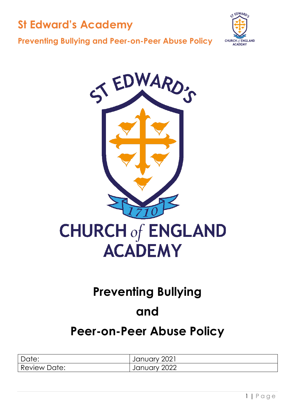



#### **Preventing Bullying and Peer-on-Peer Abuse Policy**



## **Preventing Bullying**

## **and**

## **Peer-on-Peer Abuse Policy**

| Date:        | January 2021 |
|--------------|--------------|
| Review Date: | January 2022 |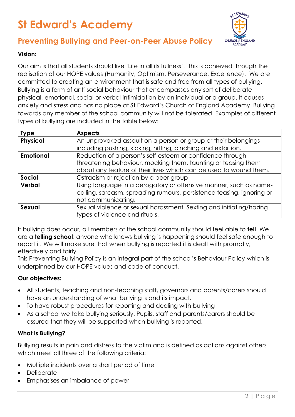

### **Preventing Bullying and Peer-on-Peer Abuse Policy**

#### **Vision:**

Our aim is that all students should live 'Life in all its fullness'. This is achieved through the realisation of our HOPE values (Humanity, Optimism, Perseverance, Excellence). We are committed to creating an environment that is safe and free from all types of bullying. Bullying is a form of anti-social behaviour that encompasses any sort of deliberate physical, emotional, social or verbal intimidation by an individual or a group. It causes anxiety and stress and has no place at St Edward's Church of England Academy. Bullying towards any member of the school community will not be tolerated. Examples of different types of bullying are included in the table below:

| <b>Type</b>      | <b>Aspects</b>                                                        |  |
|------------------|-----------------------------------------------------------------------|--|
| <b>Physical</b>  | An unprovoked assault on a person or group or their belongings        |  |
|                  | including pushing, kicking, hitting, pinching and extortion.          |  |
| <b>Emotional</b> | Reduction of a person's self-esteem or confidence through             |  |
|                  | threatening behaviour, mocking them, taunting or teasing them         |  |
|                  | about any feature of their lives which can be used to wound them.     |  |
| <b>Social</b>    | Ostracism or rejection by a peer group                                |  |
| Verbal           | Using language in a derogatory or offensive manner, such as name-     |  |
|                  | calling, sarcasm, spreading rumours, persistence teasing, ignoring or |  |
|                  | not communicating.                                                    |  |
| Sexual           | Sexual violence or sexual harassment. Sexting and initiating/hazing   |  |
|                  | types of violence and rituals.                                        |  |

If bullying does occur, all members of the school community should feel able to **tell**. We are a **telling school**; anyone who knows bullying is happening should feel safe enough to report it. We will make sure that when bullying is reported it is dealt with promptly, effectively and fairly.

This Preventing Bullying Policy is an integral part of the school's Behaviour Policy which is underpinned by our HOPE values and code of conduct.

#### **Our objectives:**

- All students, teaching and non-teaching staff, governors and parents/carers should have an understanding of what bullying is and its impact.
- To have robust procedures for reporting and dealing with bullying
- As a school we take bullying seriously. Pupils, staff and parents/carers should be assured that they will be supported when bullying is reported.

#### **What is Bullying?**

Bullying results in pain and distress to the victim and is defined as actions against others which meet all three of the following criteria:

- Multiple incidents over a short period of time
- **Deliberate**
- Emphasises an imbalance of power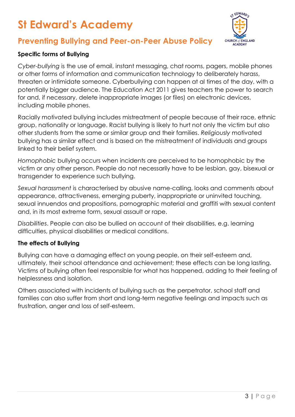

### **Preventing Bullying and Peer-on-Peer Abuse Policy**

#### **Specific forms of Bullying**

*Cyber-bullying* is the use of email, instant messaging, chat rooms, pagers, mobile phones or other forms of information and communication technology to deliberately harass, threaten or intimidate someone. Cyberbullying can happen at al times of the day, with a potentially bigger audience. The Education Act 2011 gives teachers the power to search for and, if necessary, delete inappropriate images (or files) on electronic devices, including mobile phones.

Racially motivated bullying includes mistreatment of people because of their race, ethnic group, nationality or language. Racist bullying is likely to hurt not only the victim but also other students from the same or similar group and their families. *Religiously* motivated bullying has a similar effect and is based on the mistreatment of individuals and groups linked to their belief system.

*Homophobic* bullying occurs when incidents are perceived to be homophobic by the victim or any other person. People do not necessarily have to be lesbian, gay, bisexual or transgender to experience such bullying.

*Sexual harassment* is characterised by abusive name-calling, looks and comments about appearance, attractiveness, emerging puberty, inappropriate or uninvited touching, sexual innuendos and propositions, pornographic material and graffiti with sexual content and, in its most extreme form, sexual assault or rape.

*Disabilities*. People can also be bullied on account of their disabilities, e.g. learning difficulties, physical disabilities or medical conditions.

#### **The effects of Bullying**

Bullying can have a damaging effect on young people, on their self-esteem and, ultimately, their school attendance and achievement; these effects can be long lasting. Victims of bullying often feel responsible for what has happened, adding to their feeling of helplessness and isolation.

Others associated with incidents of bullying such as the perpetrator, school staff and families can also suffer from short and long-term negative feelings and impacts such as frustration, anger and loss of self-esteem.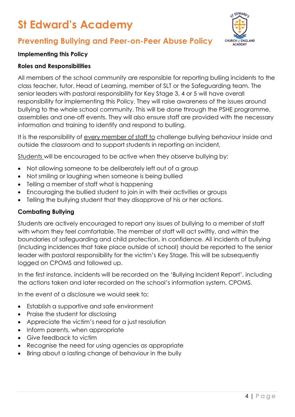



#### **Implementing this Policy**

#### **Roles and Responsibilities**

All members of the school community are responsible for reporting bulling incidents to the class teacher, tutor, Head of Learning, member of SLT or the Safeguarding team. The senior leaders with pastoral responsibility for Key Stage 3, 4 or 5 will have overall responsibility for implementing this Policy. They will raise awareness of the issues around bullying to the whole school community. This will be done through the PSHE programme, assemblies and one-off events. They will also ensure staff are provided with the necessary information and training to identify and respond to bulling.

It is the responsibility of every member of staff to challenge bullying behaviour inside and outside the classroom and to support students in reporting an incident,

Students will be encouraged to be active when they observe bullying by:

- Not allowing someone to be deliberately left out of a group
- Not smiling or laughing when someone is being bullied
- Telling a member of staff what is happening
- Encouraging the bullied student to join in with their activities or groups
- Telling the bullying student that they disapprove of his or her actions.

#### **Combating Bullying**

Students are actively encouraged to report any issues of bullying to a member of staff with whom they feel comfortable. The member of staff will act swiftly, and within the boundaries of safeguarding and child protection, in confidence. All incidents of bullying (including incidences that take place outside of school) should be reported to the senior leader with pastoral responsibility for the victim's Key Stage. This will be subsequently logged on CPOMS and followed up.

In the first instance, incidents will be recorded on the 'Bullying Incident Report', including the actions taken and later recorded on the school's information system, CPOMS.

In the event of a disclosure we would seek to:

- Establish a supportive and safe environment
- Praise the student for disclosing
- Appreciate the victim's need for a just resolution
- Inform parents, when appropriate
- Give feedback to victim
- Recognise the need for using agencies as appropriate
- Bring about a lasting change of behaviour in the bully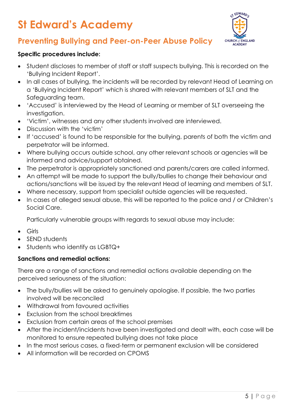

## **Preventing Bullying and Peer-on-Peer Abuse Policy**

#### **Specific procedures include:**

- Student discloses to member of staff or staff suspects bullying. This is recorded on the 'Bullying Incident Report'.
- In all cases of bullying, the incidents will be recorded by relevant Head of Learning on a 'Bullying Incident Report' which is shared with relevant members of SLT and the Safeguarding team.
- 'Accused' is interviewed by the Head of Learning or member of SLT overseeing the investigation.
- 'Victim', witnesses and any other students involved are interviewed.
- Discussion with the 'victim'
- If 'accused' is found to be responsible for the bullying, parents of both the victim and perpetrator will be informed.
- Where bullying occurs outside school, any other relevant schools or agencies will be informed and advice/support obtained.
- The perpetrator is appropriately sanctioned and parents/carers are called informed.
- An attempt will be made to support the bully/bullies to change their behaviour and actions/sanctions will be issued by the relevant Head of learning and members of SLT.
- Where necessary, support from specialist outside agencies will be requested.
- In cases of alleged sexual abuse, this will be reported to the police and / or Children's Social Care.

Particularly vulnerable groups with regards to sexual abuse may include:

- Girls
- SEND students
- Students who identify as LGBTQ+

#### **Sanctions and remedial actions:**

There are a range of sanctions and remedial actions available depending on the perceived seriousness of the situation:

- The bully/bullies will be asked to genuinely apologise. If possible, the two parties involved will be reconciled
- Withdrawal from favoured activities
- Exclusion from the school breaktimes
- Exclusion from certain areas of the school premises
- After the incident/incidents have been investigated and dealt with, each case will be monitored to ensure repeated bullying does not take place
- In the most serious cases, a fixed-term or permanent exclusion will be considered
- All information will be recorded on CPOMS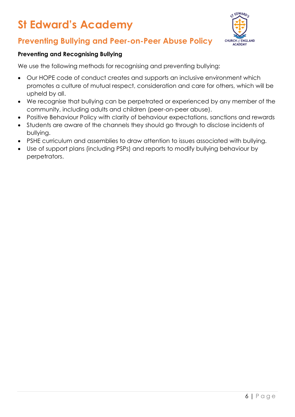

## **Preventing Bullying and Peer-on-Peer Abuse Policy**

#### **Preventing and Recognising Bullying**

We use the following methods for recognising and preventing bullying:

- Our HOPE code of conduct creates and supports an inclusive environment which promotes a culture of mutual respect, consideration and care for others, which will be upheld by all.
- We recognise that bullying can be perpetrated or experienced by any member of the community, including adults and children (peer-on-peer abuse).
- Positive Behaviour Policy with clarity of behaviour expectations, sanctions and rewards
- Students are aware of the channels they should go through to disclose incidents of bullying.
- PSHE curriculum and assemblies to draw attention to issues associated with bullying.
- Use of support plans (including PSPs) and reports to modify bullying behaviour by perpetrators.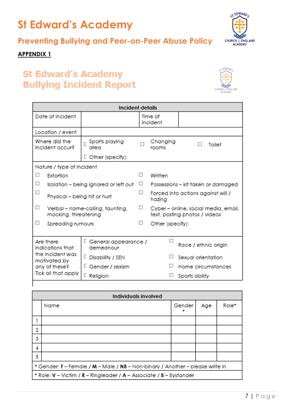## **Preventing Bullying and Peer-on-Peer Abuse Policy**

ST EDWARD : **CHURCH of ENGLAND**<br>**ACADEMY** 

#### **APPENDIX 1**

## **St Edward's Academy Bullying Incident Report**



| Incident details                                                                                                                                                                                                              |                                                          |                         |                     |                                                                       |                    |        |
|-------------------------------------------------------------------------------------------------------------------------------------------------------------------------------------------------------------------------------|----------------------------------------------------------|-------------------------|---------------------|-----------------------------------------------------------------------|--------------------|--------|
|                                                                                                                                                                                                                               | Date of incident                                         |                         | Time of<br>incident |                                                                       |                    |        |
| Location / event                                                                                                                                                                                                              |                                                          |                         |                     |                                                                       |                    |        |
| Where did the<br>incident occur?                                                                                                                                                                                              |                                                          | Sports playing<br>area  |                     | Changing<br>rooms                                                     | п                  | Toilet |
|                                                                                                                                                                                                                               |                                                          | $\Box$ Other (specify): |                     |                                                                       |                    |        |
|                                                                                                                                                                                                                               | Nature / type of incident                                |                         |                     |                                                                       |                    |        |
| □                                                                                                                                                                                                                             | Extortion                                                | □<br>Written            |                     |                                                                       |                    |        |
| □                                                                                                                                                                                                                             | Isolation - being ignored or left out                    |                         | □ .                 | Possessions – kit taken or damaged                                    |                    |        |
| □                                                                                                                                                                                                                             | Physical – being hit or hurt                             |                         | □                   | Forced into actions against will /<br>hazing                          |                    |        |
| □                                                                                                                                                                                                                             | Verbal - name-calling, taunting,<br>mocking, threatening |                         | □                   | Cyber - online, social media, email,<br>text, posting photos / videos |                    |        |
| □                                                                                                                                                                                                                             | Spreading rumours                                        |                         | □                   | Other (specify):                                                      |                    |        |
| └ General appearance /<br>Are there<br>indications that<br>demeanour<br>the incident was<br>L.<br>Disability / SEN<br>motivated by<br>└ Gender / sexism<br>any of these?<br>Tick all that apply<br>$\mathsf{\Gamma}$ Religion |                                                          |                         |                     | Race / ethnic origin                                                  |                    |        |
|                                                                                                                                                                                                                               |                                                          |                         |                     |                                                                       | Sexual orientation |        |
|                                                                                                                                                                                                                               |                                                          |                         |                     |                                                                       | Home circumstances |        |
|                                                                                                                                                                                                                               |                                                          |                         |                     | ப                                                                     | Sports ability     |        |

| Individuals involved                                                          |                                                                     |        |     |       |
|-------------------------------------------------------------------------------|---------------------------------------------------------------------|--------|-----|-------|
|                                                                               | Name                                                                | Gender | Age | Role* |
|                                                                               |                                                                     |        |     |       |
| $\overline{2}$                                                                |                                                                     |        |     |       |
| 3                                                                             |                                                                     |        |     |       |
| 4                                                                             |                                                                     |        |     |       |
| 5                                                                             |                                                                     |        |     |       |
| * Gender: F - Female / M - Male / NB - Non-binary / Another - please write in |                                                                     |        |     |       |
|                                                                               | * Role: V - Victim / R - Ringleader / A - Associate / B - Bystander |        |     |       |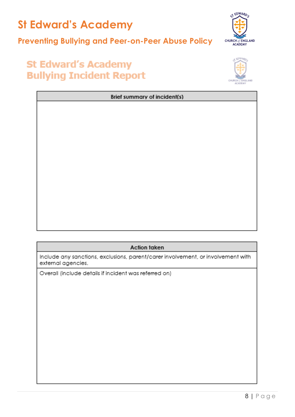

### **Preventing Bullying and Peer-on-Peer Abuse Policy**



## **St Edward's Academy Bullying Incident Report**



| Brief summary of incident(s) |  |  |
|------------------------------|--|--|
|                              |  |  |
|                              |  |  |
|                              |  |  |
|                              |  |  |
|                              |  |  |
|                              |  |  |
|                              |  |  |
|                              |  |  |
|                              |  |  |
|                              |  |  |
|                              |  |  |

#### **Action taken**

Include any sanctions, exclusions, parent/carer involvement, or involvement with external agencies.

Overall (include details if incident was referred on)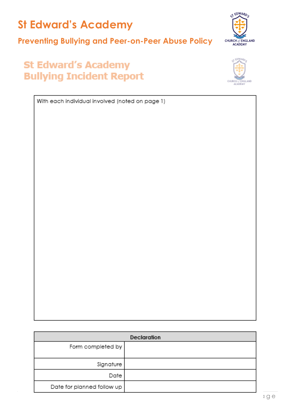## **Preventing Bullying and Peer-on-Peer Abuse Policy**



## **St Edward's Academy Bullying Incident Report**



With each individual involved (noted on page 1)

| Declaration                |  |  |
|----------------------------|--|--|
| Form completed by          |  |  |
| Signature                  |  |  |
| Date                       |  |  |
| Date for planned follow up |  |  |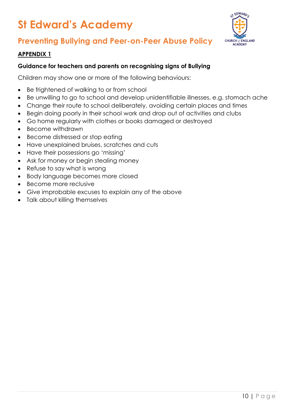

## **Preventing Bullying and Peer-on-Peer Abuse Policy**

#### **APPENDIX 1**

#### **Guidance for teachers and parents on recognising signs of Bullying**

Children may show one or more of the following behaviours:

- Be frightened of walking to or from school
- Be unwilling to go to school and develop unidentifiable illnesses, e.g. stomach ache
- Change their route to school deliberately, avoiding certain places and times
- Begin doing poorly in their school work and drop out of activities and clubs
- Go home regularly with clothes or books damaged or destroyed
- Become withdrawn
- Become distressed or stop eating
- Have unexplained bruises, scratches and cuts
- Have their possessions go 'missing'
- Ask for money or begin stealing money
- Refuse to say what is wrong
- Body language becomes more closed
- Become more reclusive
- Give improbable excuses to explain any of the above
- Talk about killing themselves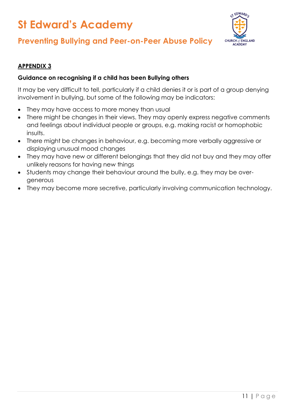

### **Preventing Bullying and Peer-on-Peer Abuse Policy**

#### **APPENDIX 3**

#### **Guidance on recognising if a child has been Bullying others**

It may be very difficult to tell, particularly if a child denies it or is part of a group denying involvement in bullying, but some of the following may be indicators:

- They may have access to more money than usual
- There might be changes in their views. They may openly express negative comments and feelings about individual people or groups, e.g. making racist or homophobic insults.
- There might be changes in behaviour, e.g. becoming more verbally aggressive or displaying unusual mood changes
- They may have new or different belongings that they did not buy and they may offer unlikely reasons for having new things
- Students may change their behaviour around the bully, e.g. they may be overgenerous
- They may become more secretive, particularly involving communication technology.